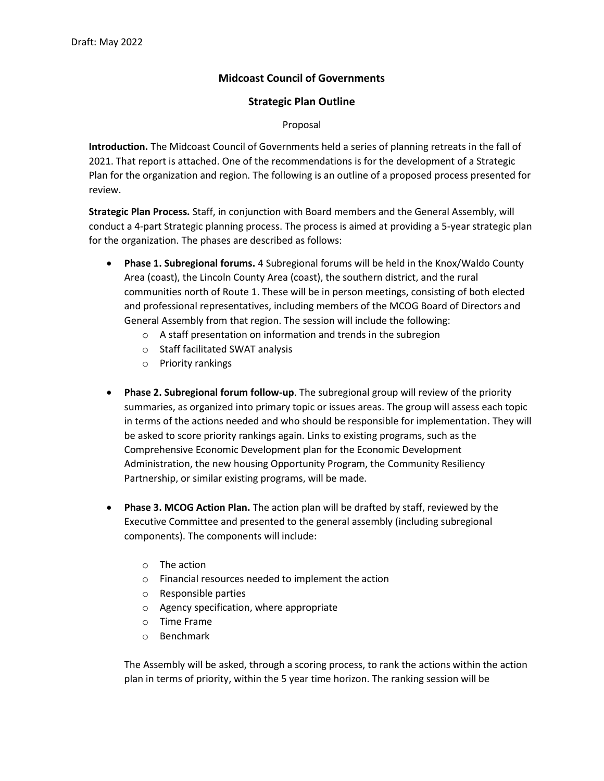#### **Midcoast Council of Governments**

#### **Strategic Plan Outline**

#### Proposal

**Introduction.** The Midcoast Council of Governments held a series of planning retreats in the fall of 2021. That report is attached. One of the recommendations is for the development of a Strategic Plan for the organization and region. The following is an outline of a proposed process presented for review.

**Strategic Plan Process.** Staff, in conjunction with Board members and the General Assembly, will conduct a 4-part Strategic planning process. The process is aimed at providing a 5-year strategic plan for the organization. The phases are described as follows:

- **Phase 1. Subregional forums.** 4 Subregional forums will be held in the Knox/Waldo County Area (coast), the Lincoln County Area (coast), the southern district, and the rural communities north of Route 1. These will be in person meetings, consisting of both elected and professional representatives, including members of the MCOG Board of Directors and General Assembly from that region. The session will include the following:
	- o A staff presentation on information and trends in the subregion
	- o Staff facilitated SWAT analysis
	- o Priority rankings
- **Phase 2. Subregional forum follow-up**. The subregional group will review of the priority summaries, as organized into primary topic or issues areas. The group will assess each topic in terms of the actions needed and who should be responsible for implementation. They will be asked to score priority rankings again. Links to existing programs, such as the Comprehensive Economic Development plan for the Economic Development Administration, the new housing Opportunity Program, the Community Resiliency Partnership, or similar existing programs, will be made.
- **Phase 3. MCOG Action Plan.** The action plan will be drafted by staff, reviewed by the Executive Committee and presented to the general assembly (including subregional components). The components will include:
	- o The action
	- o Financial resources needed to implement the action
	- o Responsible parties
	- o Agency specification, where appropriate
	- o Time Frame
	- o Benchmark

The Assembly will be asked, through a scoring process, to rank the actions within the action plan in terms of priority, within the 5 year time horizon. The ranking session will be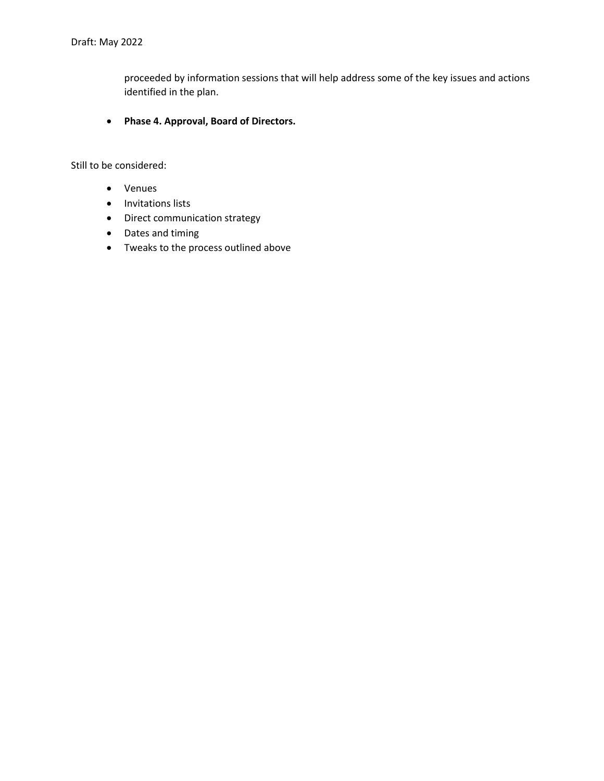proceeded by information sessions that will help address some of the key issues and actions identified in the plan.

• **Phase 4. Approval, Board of Directors.**

Still to be considered:

- Venues
- Invitations lists
- Direct communication strategy
- Dates and timing
- Tweaks to the process outlined above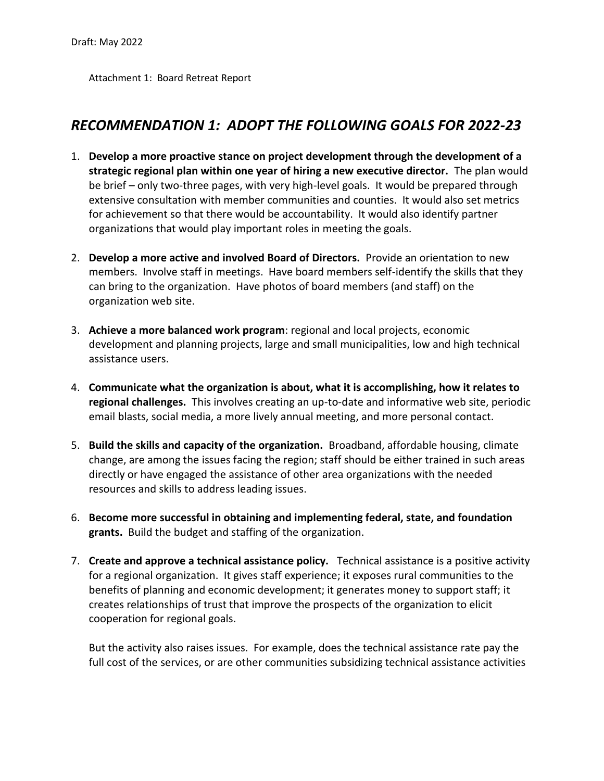Attachment 1: Board Retreat Report

# *RECOMMENDATION 1: ADOPT THE FOLLOWING GOALS FOR 2022-23*

- 1. **Develop a more proactive stance on project development through the development of a strategic regional plan within one year of hiring a new executive director.** The plan would be brief – only two-three pages, with very high-level goals. It would be prepared through extensive consultation with member communities and counties. It would also set metrics for achievement so that there would be accountability. It would also identify partner organizations that would play important roles in meeting the goals.
- 2. **Develop a more active and involved Board of Directors.** Provide an orientation to new members. Involve staff in meetings. Have board members self-identify the skills that they can bring to the organization. Have photos of board members (and staff) on the organization web site.
- 3. **Achieve a more balanced work program**: regional and local projects, economic development and planning projects, large and small municipalities, low and high technical assistance users.
- 4. **Communicate what the organization is about, what it is accomplishing, how it relates to regional challenges.** This involves creating an up-to-date and informative web site, periodic email blasts, social media, a more lively annual meeting, and more personal contact.
- 5. **Build the skills and capacity of the organization.** Broadband, affordable housing, climate change, are among the issues facing the region; staff should be either trained in such areas directly or have engaged the assistance of other area organizations with the needed resources and skills to address leading issues.
- 6. **Become more successful in obtaining and implementing federal, state, and foundation grants.** Build the budget and staffing of the organization.
- 7. **Create and approve a technical assistance policy.** Technical assistance is a positive activity for a regional organization. It gives staff experience; it exposes rural communities to the benefits of planning and economic development; it generates money to support staff; it creates relationships of trust that improve the prospects of the organization to elicit cooperation for regional goals.

But the activity also raises issues. For example, does the technical assistance rate pay the full cost of the services, or are other communities subsidizing technical assistance activities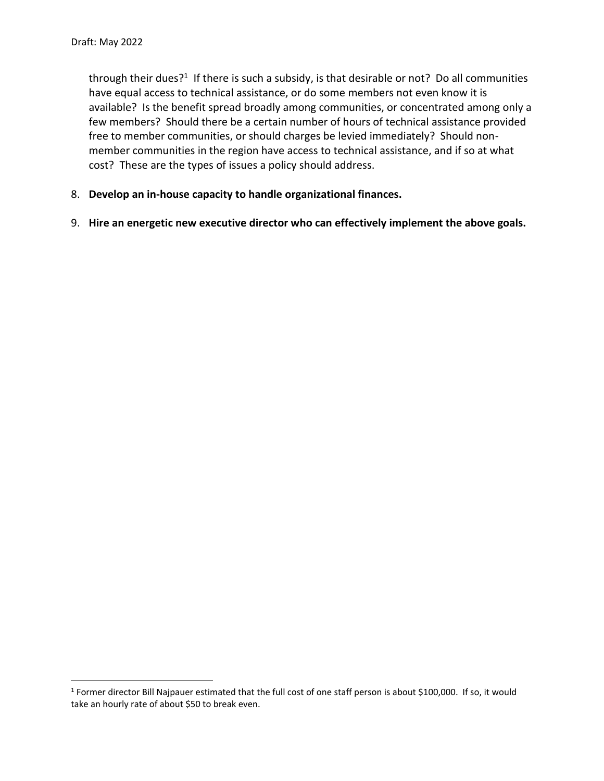through their dues?<sup>1</sup> If there is such a subsidy, is that desirable or not? Do all communities have equal access to technical assistance, or do some members not even know it is available? Is the benefit spread broadly among communities, or concentrated among only a few members? Should there be a certain number of hours of technical assistance provided free to member communities, or should charges be levied immediately? Should nonmember communities in the region have access to technical assistance, and if so at what cost? These are the types of issues a policy should address.

- 8. **Develop an in-house capacity to handle organizational finances.**
- 9. **Hire an energetic new executive director who can effectively implement the above goals.**

<sup>&</sup>lt;sup>1</sup> Former director Bill Najpauer estimated that the full cost of one staff person is about \$100,000. If so, it would take an hourly rate of about \$50 to break even.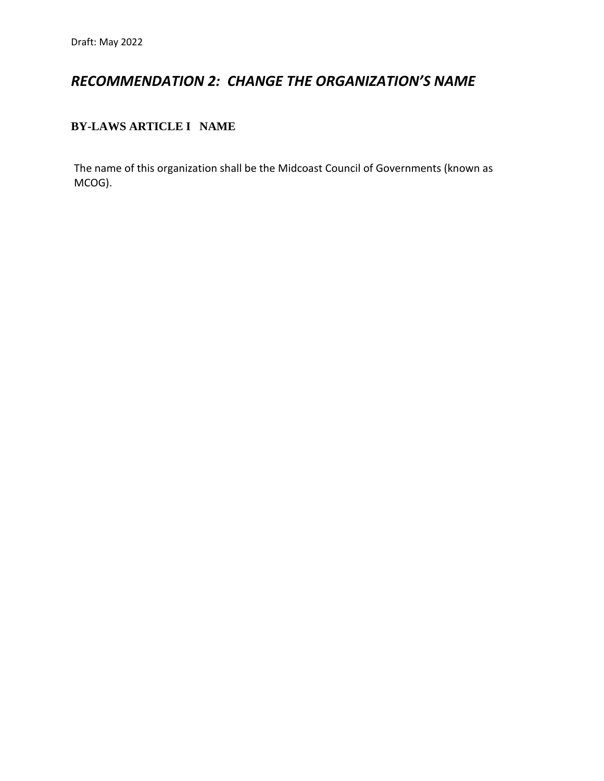## *RECOMMENDATION 2: CHANGE THE ORGANIZATION'S NAME*

## **BY-LAWS ARTICLE I NAME**

The name of this organization shall be the Midcoast Council of Governments (known as MCOG).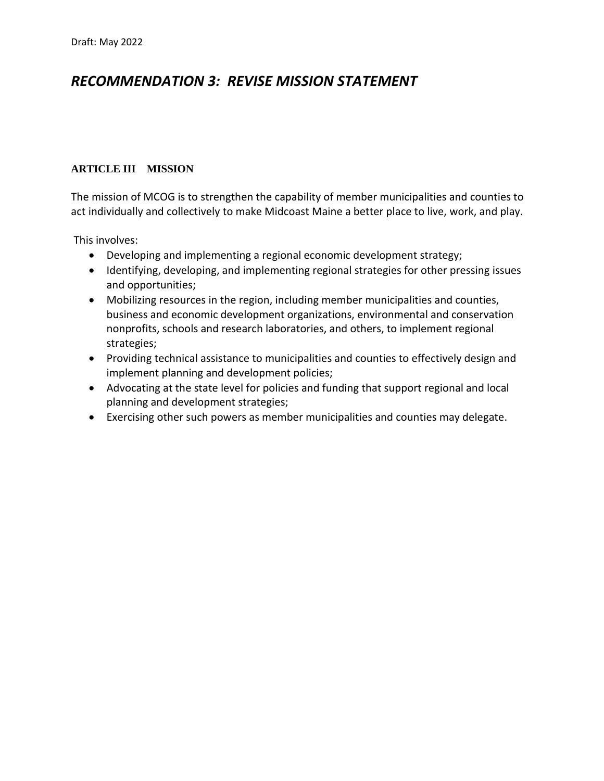# *RECOMMENDATION 3: REVISE MISSION STATEMENT*

### **ARTICLE III MISSION**

The mission of MCOG is to strengthen the capability of member municipalities and counties to act individually and collectively to make Midcoast Maine a better place to live, work, and play.

This involves:

- Developing and implementing a regional economic development strategy;
- Identifying, developing, and implementing regional strategies for other pressing issues and opportunities;
- Mobilizing resources in the region, including member municipalities and counties, business and economic development organizations, environmental and conservation nonprofits, schools and research laboratories, and others, to implement regional strategies;
- Providing technical assistance to municipalities and counties to effectively design and implement planning and development policies;
- Advocating at the state level for policies and funding that support regional and local planning and development strategies;
- Exercising other such powers as member municipalities and counties may delegate.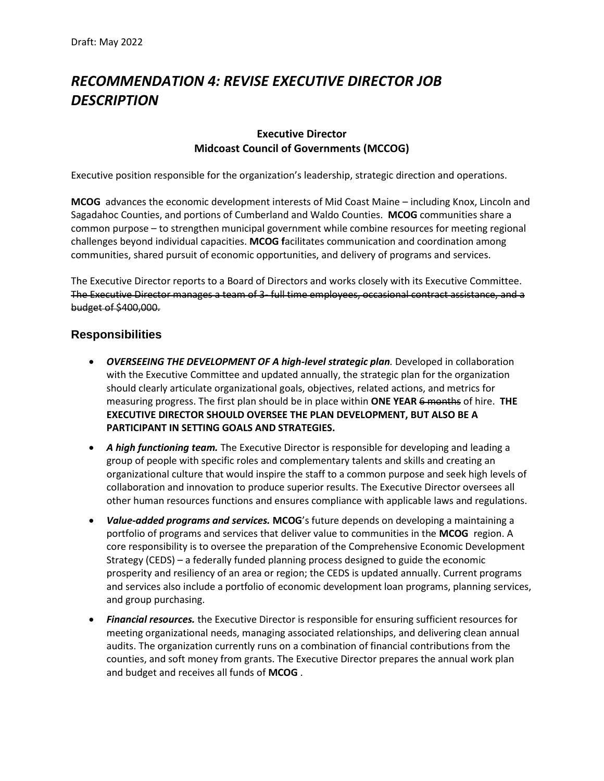# *RECOMMENDATION 4: REVISE EXECUTIVE DIRECTOR JOB DESCRIPTION*

#### **Executive Director Midcoast Council of Governments (MCCOG)**

Executive position responsible for the organization's leadership, strategic direction and operations.

**MCOG** advances the economic development interests of Mid Coast Maine – including Knox, Lincoln and Sagadahoc Counties, and portions of Cumberland and Waldo Counties. **MCOG** communities share a common purpose – to strengthen municipal government while combine resources for meeting regional challenges beyond individual capacities. **MCOG f**acilitates communication and coordination among communities, shared pursuit of economic opportunities, and delivery of programs and services.

The Executive Director reports to a Board of Directors and works closely with its Executive Committee. The Executive Director manages a team of 3- full time employees, occasional contract assistance, and a budget of \$400,000.

#### **Responsibilities**

- *OVERSEEING THE DEVELOPMENT OF A high-level strategic plan.* Developed in collaboration with the Executive Committee and updated annually, the strategic plan for the organization should clearly articulate organizational goals, objectives, related actions, and metrics for measuring progress. The first plan should be in place within **ONE YEAR** 6 months of hire. **THE EXECUTIVE DIRECTOR SHOULD OVERSEE THE PLAN DEVELOPMENT, BUT ALSO BE A PARTICIPANT IN SETTING GOALS AND STRATEGIES.**
- *A high functioning team.* The Executive Director is responsible for developing and leading a group of people with specific roles and complementary talents and skills and creating an organizational culture that would inspire the staff to a common purpose and seek high levels of collaboration and innovation to produce superior results. The Executive Director oversees all other human resources functions and ensures compliance with applicable laws and regulations.
- *Value-added programs and services.* **MCOG**'s future depends on developing a maintaining a portfolio of programs and services that deliver value to communities in the **MCOG** region. A core responsibility is to oversee the preparation of the Comprehensive Economic Development Strategy (CEDS) – a federally funded planning process designed to guide the economic prosperity and resiliency of an area or region; the CEDS is updated annually. Current programs and services also include a portfolio of economic development loan programs, planning services, and group purchasing.
- *Financial resources.* the Executive Director is responsible for ensuring sufficient resources for meeting organizational needs, managing associated relationships, and delivering clean annual audits. The organization currently runs on a combination of financial contributions from the counties, and soft money from grants. The Executive Director prepares the annual work plan and budget and receives all funds of **MCOG** .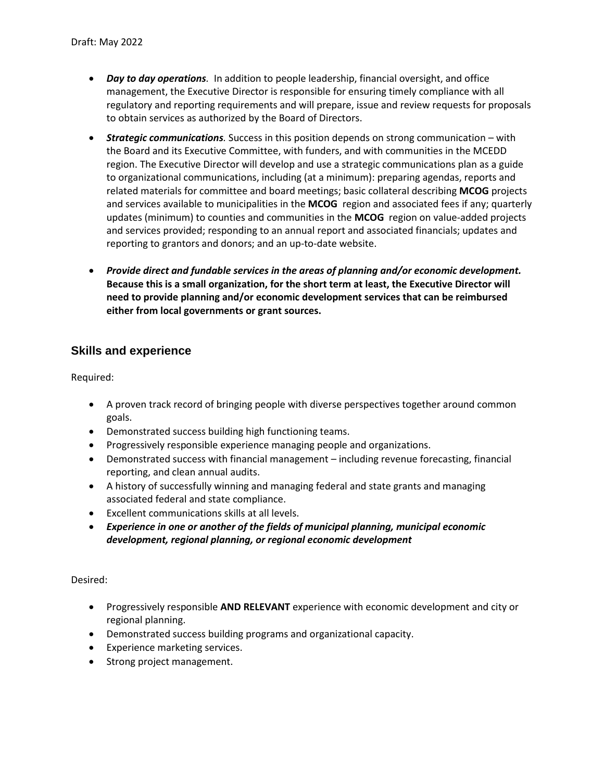- *Day to day operations.* In addition to people leadership, financial oversight, and office management, the Executive Director is responsible for ensuring timely compliance with all regulatory and reporting requirements and will prepare, issue and review requests for proposals to obtain services as authorized by the Board of Directors.
- *Strategic communications.* Success in this position depends on strong communication with the Board and its Executive Committee, with funders, and with communities in the MCEDD region. The Executive Director will develop and use a strategic communications plan as a guide to organizational communications, including (at a minimum): preparing agendas, reports and related materials for committee and board meetings; basic collateral describing **MCOG** projects and services available to municipalities in the **MCOG** region and associated fees if any; quarterly updates (minimum) to counties and communities in the **MCOG** region on value-added projects and services provided; responding to an annual report and associated financials; updates and reporting to grantors and donors; and an up-to-date website.
- *Provide direct and fundable services in the areas of planning and/or economic development.*  **Because this is a small organization, for the short term at least, the Executive Director will need to provide planning and/or economic development services that can be reimbursed either from local governments or grant sources.**

### **Skills and experience**

Required:

- A proven track record of bringing people with diverse perspectives together around common goals.
- Demonstrated success building high functioning teams.
- Progressively responsible experience managing people and organizations.
- Demonstrated success with financial management including revenue forecasting, financial reporting, and clean annual audits.
- A history of successfully winning and managing federal and state grants and managing associated federal and state compliance.
- Excellent communications skills at all levels.
- *Experience in one or another of the fields of municipal planning, municipal economic development, regional planning, or regional economic development*

Desired:

- Progressively responsible **AND RELEVANT** experience with economic development and city or regional planning.
- Demonstrated success building programs and organizational capacity.
- Experience marketing services.
- Strong project management.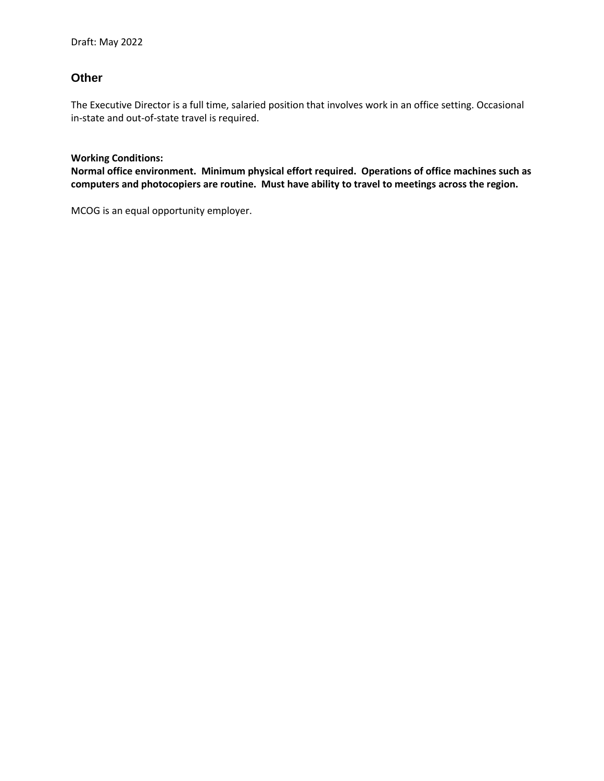### **Other**

The Executive Director is a full time, salaried position that involves work in an office setting. Occasional in-state and out-of-state travel is required.

#### **Working Conditions:**

**Normal office environment. Minimum physical effort required. Operations of office machines such as computers and photocopiers are routine. Must have ability to travel to meetings across the region.**

MCOG is an equal opportunity employer.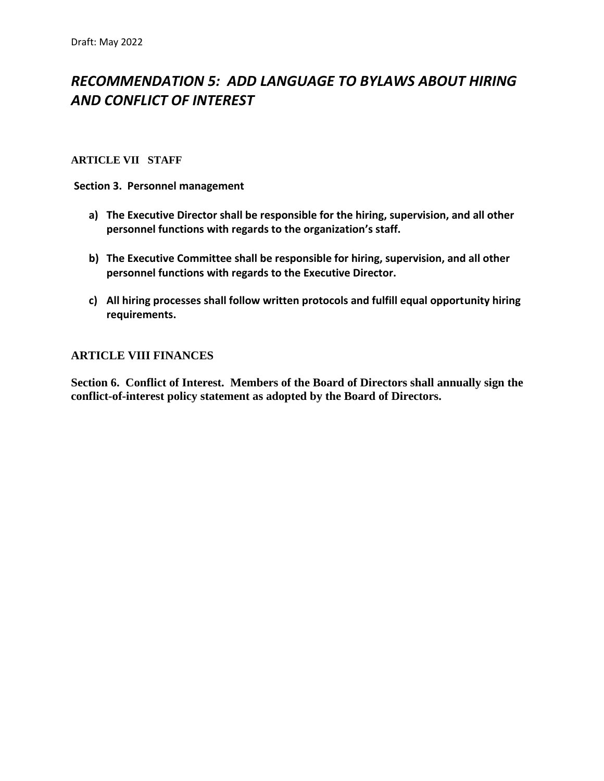# *RECOMMENDATION 5: ADD LANGUAGE TO BYLAWS ABOUT HIRING AND CONFLICT OF INTEREST*

#### **ARTICLE VII STAFF**

#### **Section 3. Personnel management**

- **a) The Executive Director shall be responsible for the hiring, supervision, and all other personnel functions with regards to the organization's staff.**
- **b) The Executive Committee shall be responsible for hiring, supervision, and all other personnel functions with regards to the Executive Director.**
- **c) All hiring processes shall follow written protocols and fulfill equal opportunity hiring requirements.**

#### **ARTICLE VIII FINANCES**

**Section 6. Conflict of Interest. Members of the Board of Directors shall annually sign the conflict-of-interest policy statement as adopted by the Board of Directors.**